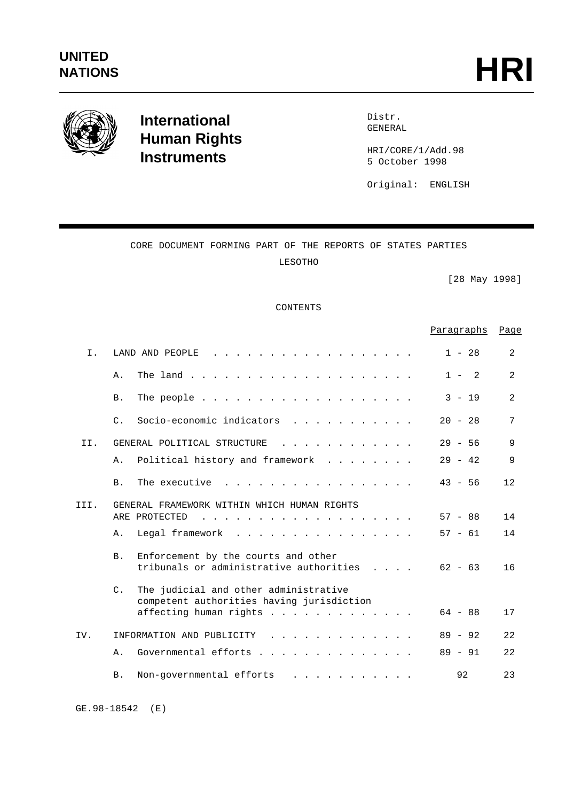

# **International Human Rights Instruments**

Distr. GENERAL

HRI/CORE/1/Add.98 5 October 1998

Original: ENGLISH

# CORE DOCUMENT FORMING PART OF THE REPORTS OF STATES PARTIES LESOTHO

[28 May 1998]

## CONTENTS

# Paragraphs Page I. LAND AND PEOPLE . . . . . . . . . . . . . . . . . . 1 - 28 2 A. The land .................... 1 - 2 2 B. The people ................... 3 - 19 2 C. Socio-economic indicators . . . . . . . . . . 20 - 28 7 II. GENERAL POLITICAL STRUCTURE . . . . . . . . . . . 29 - 56 9 A. Political history and framework . . . . . . . 29 - 42 9 B. The executive . . . . . . . . . . . . . . . . 43 - 56 12 III. GENERAL FRAMEWORK WITHIN WHICH HUMAN RIGHTS ARE PROTECTED ................... 57 - 88 14 A. Legal framework . . . . . . . . . . . . . . . 57 - 61 14 B. Enforcement by the courts and other tribunals or administrative authorities .... 62 - 63 16 C. The judicial and other administrative competent authorities having jurisdiction affecting human rights . . . . . . . . . . . . . 64 - 88 17 IV. INFORMATION AND PUBLICITY . . . . . . . . . . . . 89 - 92 22 A. Governmental efforts . . . . . . . . . . . . . 89 - 91 22 B. Non-governmental efforts . . . . . . . . . . 92 23

GE.98-18542 (E)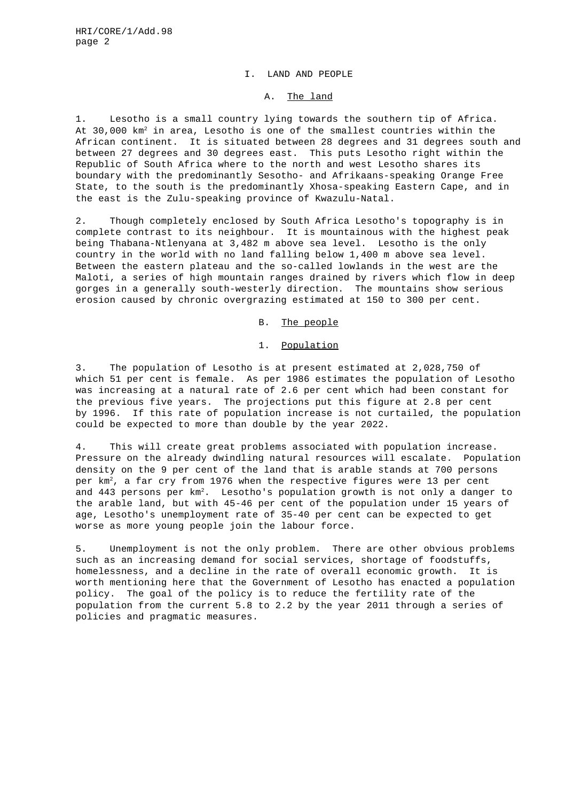# I. LAND AND PEOPLE

# A. The land

1. Lesotho is a small country lying towards the southern tip of Africa. At 30,000  $km^2$  in area, Lesotho is one of the smallest countries within the African continent. It is situated between 28 degrees and 31 degrees south and between 27 degrees and 30 degrees east. This puts Lesotho right within the Republic of South Africa where to the north and west Lesotho shares its boundary with the predominantly Sesotho- and Afrikaans-speaking Orange Free State, to the south is the predominantly Xhosa-speaking Eastern Cape, and in the east is the Zulu-speaking province of Kwazulu-Natal.

2. Though completely enclosed by South Africa Lesotho's topography is in complete contrast to its neighbour. It is mountainous with the highest peak being Thabana-Ntlenyana at 3,482 m above sea level. Lesotho is the only country in the world with no land falling below 1,400 m above sea level. Between the eastern plateau and the so-called lowlands in the west are the Maloti, a series of high mountain ranges drained by rivers which flow in deep gorges in a generally south-westerly direction. The mountains show serious erosion caused by chronic overgrazing estimated at 150 to 300 per cent.

## B. The people

# 1. Population

3. The population of Lesotho is at present estimated at 2,028,750 of which 51 per cent is female. As per 1986 estimates the population of Lesotho was increasing at a natural rate of 2.6 per cent which had been constant for the previous five years. The projections put this figure at 2.8 per cent by 1996. If this rate of population increase is not curtailed, the population could be expected to more than double by the year 2022.

4. This will create great problems associated with population increase. Pressure on the already dwindling natural resources will escalate. Population density on the 9 per cent of the land that is arable stands at 700 persons per  $km^2$ , a far cry from 1976 when the respective figures were 13 per cent and 443 persons per  $km^2$ . Lesotho's population growth is not only a danger to the arable land, but with 45-46 per cent of the population under 15 years of age, Lesotho's unemployment rate of 35-40 per cent can be expected to get worse as more young people join the labour force.

5. Unemployment is not the only problem. There are other obvious problems such as an increasing demand for social services, shortage of foodstuffs, homelessness, and a decline in the rate of overall economic growth. It is worth mentioning here that the Government of Lesotho has enacted a population policy. The goal of the policy is to reduce the fertility rate of the population from the current 5.8 to 2.2 by the year 2011 through a series of policies and pragmatic measures.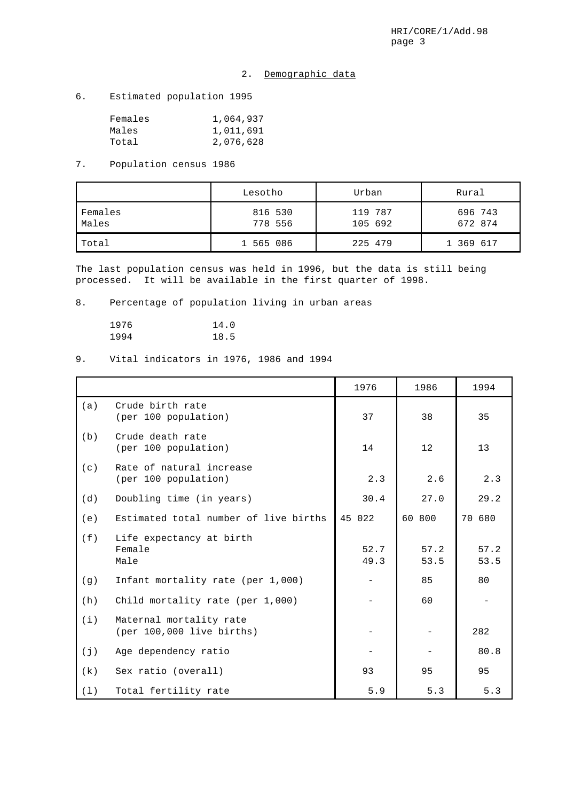# 2. Demographic data

6. Estimated population 1995

| Females | 1,064,937 |
|---------|-----------|
| Males   | 1,011,691 |
| Total   | 2,076,628 |

7. Population census 1986

|                  | Lesotho            | Urban              | Rural              |  |
|------------------|--------------------|--------------------|--------------------|--|
| Females<br>Males | 816 530<br>778 556 | 119 787<br>105 692 | 696 743<br>672 874 |  |
| Total            | 1 565 086          | 225 479            | 1 369 617          |  |

The last population census was held in 1996, but the data is still being processed. It will be available in the first quarter of 1998.

8. Percentage of population living in urban areas

| 1976 | 14.0 |
|------|------|
| 1994 | 18.5 |

9. Vital indicators in 1976, 1986 and 1994

|     |                                                                       | 1976         | 1986         | 1994         |
|-----|-----------------------------------------------------------------------|--------------|--------------|--------------|
| (a) | Crude birth rate<br>(per 100 population)                              | 37           | 38           | 35           |
| (b) | Crude death rate<br>(per 100 population)                              | 14           | 12           | 13           |
| (c) | Rate of natural increase<br>(per 100 population)                      | 2.3          | 2.6          | 2.3          |
| (d) | Doubling time (in years)                                              | 30.4         | 27.0         | 29.2         |
| (e) | Estimated total number of live births                                 | 45 022       | 60 800       | 70 680       |
| (f) | Life expectancy at birth<br>Female<br>Male                            | 52.7<br>49.3 | 57.2<br>53.5 | 57.2<br>53.5 |
| (q) | Infant mortality rate (per 1,000)                                     |              | 85           | 80           |
| (h) | Child mortality rate (per 1,000)                                      |              | 60           |              |
| (i) | Maternal mortality rate<br>$(\text{per }100,000 \text{ live births})$ |              |              | 282          |
| (j) | Age dependency ratio                                                  |              |              | 80.8         |
| (k) | Sex ratio (overall)                                                   | 93           | 95           | 95           |
| (1) | Total fertility rate                                                  | 5.9          | 5.3          | 5.3          |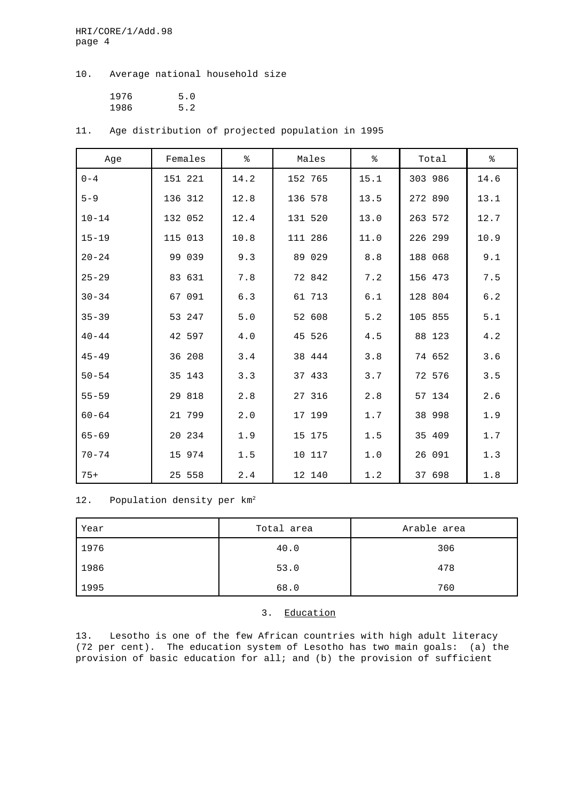10. Average national household size

| 1976 | 5.0 |
|------|-----|
| 1986 | 5.2 |

| Age       | Females | နွ   | Males   | ి       | Total   | ి    |
|-----------|---------|------|---------|---------|---------|------|
| $0 - 4$   | 151 221 | 14.2 | 152 765 | 15.1    | 303 986 | 14.6 |
| $5 - 9$   | 136 312 | 12.8 | 136 578 | 13.5    | 272 890 | 13.1 |
| $10 - 14$ | 132 052 | 12.4 | 131 520 | 13.0    | 263 572 | 12.7 |
| $15 - 19$ | 115 013 | 10.8 | 111 286 | 11.0    | 226 299 | 10.9 |
| $20 - 24$ | 99 039  | 9.3  | 89 029  | 8.8     | 188 068 | 9.1  |
| $25 - 29$ | 83 631  | 7.8  | 72 842  | 7.2     | 156 473 | 7.5  |
| $30 - 34$ | 67 091  | 6.3  | 61 713  | 6.1     | 128 804 | 6.2  |
| $35 - 39$ | 53 247  | 5.0  | 52 608  | 5.2     | 105 855 | 5.1  |
| $40 - 44$ | 42 597  | 4.0  | 45 526  | 4.5     | 88 123  | 4.2  |
| $45 - 49$ | 36 208  | 3.4  | 38 444  | 3.8     | 74 652  | 3.6  |
| $50 - 54$ | 35 143  | 3.3  | 37 433  | 3.7     | 72 576  | 3.5  |
| $55 - 59$ | 29 818  | 2.8  | 27 316  | 2.8     | 57 134  | 2.6  |
| $60 - 64$ | 21 799  | 2.0  | 17 199  | 1.7     | 38 998  | 1.9  |
| $65 - 69$ | 20 234  | 1.9  | 15 175  | $1.5\,$ | 35 409  | 1.7  |
| $70 - 74$ | 15 974  | 1.5  | 10 117  | 1.0     | 26 091  | 1.3  |
| $75+$     | 25 558  | 2.4  | 12 140  | 1.2     | 37 698  | 1.8  |

11. Age distribution of projected population in 1995

# 12. Population density per km<sup>2</sup>

| Year | Total area<br>Arable area |     |
|------|---------------------------|-----|
| 1976 | 40.0                      | 306 |
| 1986 | 53.0                      | 478 |
| 1995 | 68.0                      | 760 |

# 3. Education

13. Lesotho is one of the few African countries with high adult literacy (72 per cent). The education system of Lesotho has two main goals: (a) the provision of basic education for all; and (b) the provision of sufficient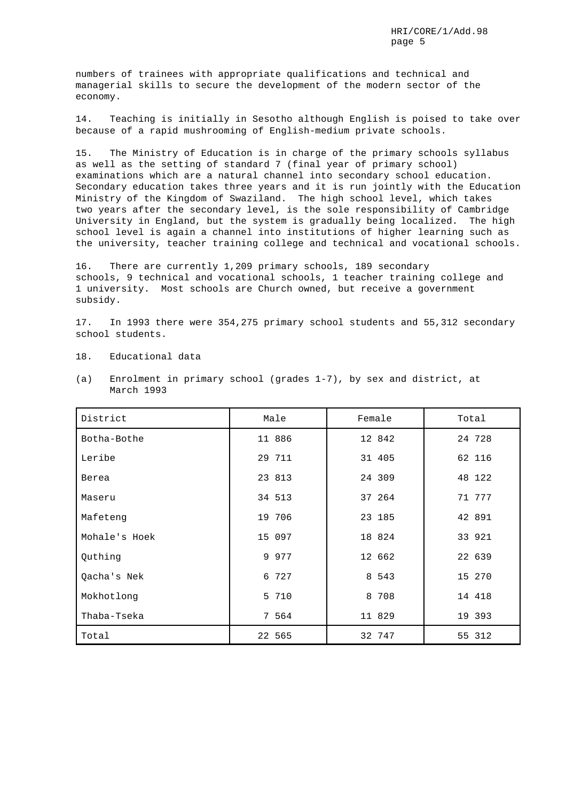numbers of trainees with appropriate qualifications and technical and managerial skills to secure the development of the modern sector of the economy.

14. Teaching is initially in Sesotho although English is poised to take over because of a rapid mushrooming of English-medium private schools.

15. The Ministry of Education is in charge of the primary schools syllabus as well as the setting of standard 7 (final year of primary school) examinations which are a natural channel into secondary school education. Secondary education takes three years and it is run jointly with the Education Ministry of the Kingdom of Swaziland. The high school level, which takes two years after the secondary level, is the sole responsibility of Cambridge University in England, but the system is gradually being localized. The high school level is again a channel into institutions of higher learning such as the university, teacher training college and technical and vocational schools.

16. There are currently 1,209 primary schools, 189 secondary schools, 9 technical and vocational schools, 1 teacher training college and 1 university. Most schools are Church owned, but receive a government subsidy.

17. In 1993 there were 354,275 primary school students and 55,312 secondary school students.

18. Educational data

| District      | Male    | Female  | Total  |
|---------------|---------|---------|--------|
| Botha-Bothe   | 11 886  | 12 842  | 24 728 |
| Leribe        | 29 711  | 31 405  | 62 116 |
| Berea         | 23 813  | 24 309  | 48 122 |
| Maseru        | 34 513  | 37 264  | 71 777 |
| Mafeteng      | 19 706  | 23 185  | 42 891 |
| Mohale's Hoek | 15 097  | 18 824  | 33 921 |
| Quthing       | 9 9 7 7 | 12 662  | 22 639 |
| Qacha's Nek   | 6 727   | 8 5 4 3 | 15 270 |
| Mokhotlong    | 5 710   | 8 708   | 14 418 |
| Thaba-Tseka   | 7 564   | 11 829  | 19 393 |
| Total         | 22 565  | 32 747  | 55 312 |

(a) Enrolment in primary school (grades 1-7), by sex and district, at March 1993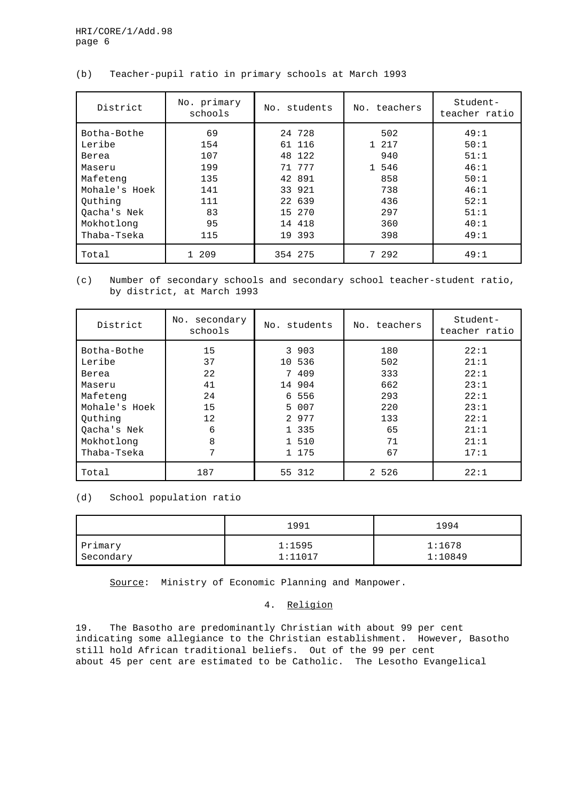| District      | No. primary<br>schools | No. students<br>No. teachers |       | Student-<br>teacher ratio |
|---------------|------------------------|------------------------------|-------|---------------------------|
| Botha-Bothe   | 69                     | 24 728                       | 502   | 49:1                      |
| Leribe        | 154                    | 61 116                       | 1 217 | 50:1                      |
| Berea         | 107                    | 48 122                       | 940   | 51:1                      |
| Maseru        | 199                    | 71 777                       | 1 546 | 46:1                      |
| Mafeteng      | 135                    | 42 891                       | 858   | 50:1                      |
| Mohale's Hoek | 141                    | 33 921                       | 738   | 46:1                      |
| Quthing       | 111                    | 22 639                       | 436   | 52:1                      |
| Qacha's Nek   | 83                     | 15 270                       | 297   | 51:1                      |
| Mokhotlong    | 95                     | 14 418                       | 360   | 40:1                      |
| Thaba-Tseka   | 115                    | 19 393                       | 398   | 49:1                      |
| Total         | 209                    | 354 275                      | 7 292 | 49:1                      |

# (b) Teacher-pupil ratio in primary schools at March 1993

(c) Number of secondary schools and secondary school teacher-student ratio, by district, at March 1993

| District      | secondary<br>No.<br>schools | students<br>No. | No. teachers |      |
|---------------|-----------------------------|-----------------|--------------|------|
| Botha-Bothe   | 15                          | 3 903           | 180          | 22:1 |
| Leribe        | 37                          | 10 536          | 502          | 21:1 |
| Berea         | 22                          | 7 409           | 333          | 22:1 |
| Maseru        | 41                          | 14 904          | 662          | 23:1 |
| Mafeteng      | 24                          | 6 556           | 293          | 22:1 |
| Mohale's Hoek | 15                          | 5 007           | 220          | 23:1 |
| Outhing       | 12                          | 2 977           | 133          | 22:1 |
| Qacha's Nek   | 6                           | 1 335           | 65           | 21:1 |
| Mokhotlong    | 8                           | 1 510           | 71           | 21:1 |
| Thaba-Tseka   | 7                           | 1 175           | 67           | 17:1 |
| Total         | 187                         | 55 312          | 2 5 2 6      | 22:1 |

(d) School population ratio

|           | 1991    | 1994    |
|-----------|---------|---------|
| Primary   | 1:1595  | 1:1678  |
| Secondary | 1:11017 | 1:10849 |

Source: Ministry of Economic Planning and Manpower.

# 4. Religion

19. The Basotho are predominantly Christian with about 99 per cent indicating some allegiance to the Christian establishment. However, Basotho still hold African traditional beliefs. Out of the 99 per cent about 45 per cent are estimated to be Catholic. The Lesotho Evangelical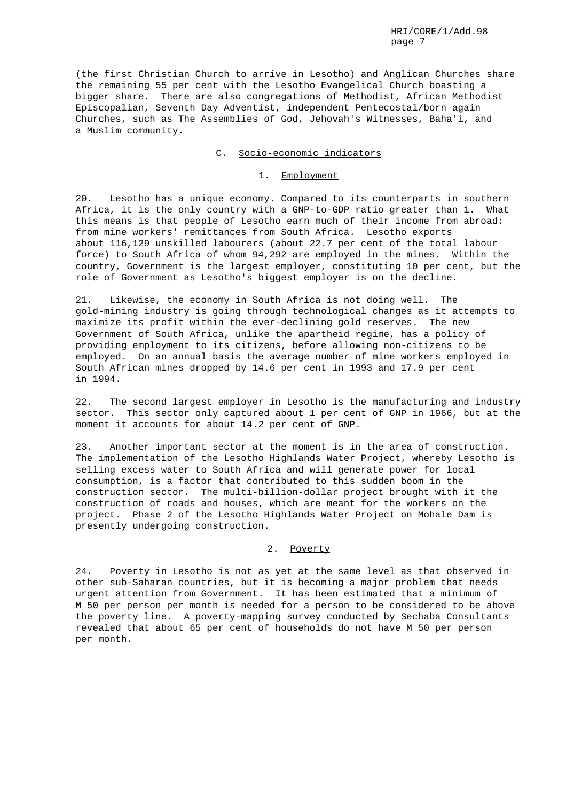(the first Christian Church to arrive in Lesotho) and Anglican Churches share the remaining 55 per cent with the Lesotho Evangelical Church boasting a bigger share. There are also congregations of Methodist, African Methodist Episcopalian, Seventh Day Adventist, independent Pentecostal/born again Churches, such as The Assemblies of God, Jehovah's Witnesses, Baha'i, and a Muslim community.

# C. Socio-economic indicators

# 1. Employment

20. Lesotho has a unique economy. Compared to its counterparts in southern Africa, it is the only country with a GNP-to-GDP ratio greater than 1. What this means is that people of Lesotho earn much of their income from abroad: from mine workers' remittances from South Africa. Lesotho exports about 116,129 unskilled labourers (about 22.7 per cent of the total labour force) to South Africa of whom 94,292 are employed in the mines. Within the country, Government is the largest employer, constituting 10 per cent, but the role of Government as Lesotho's biggest employer is on the decline.

21. Likewise, the economy in South Africa is not doing well. The gold-mining industry is going through technological changes as it attempts to maximize its profit within the ever-declining gold reserves. The new Government of South Africa, unlike the apartheid regime, has a policy of providing employment to its citizens, before allowing non-citizens to be employed. On an annual basis the average number of mine workers employed in South African mines dropped by 14.6 per cent in 1993 and 17.9 per cent in 1994.

22. The second largest employer in Lesotho is the manufacturing and industry sector. This sector only captured about 1 per cent of GNP in 1966, but at the moment it accounts for about 14.2 per cent of GNP.

23. Another important sector at the moment is in the area of construction. The implementation of the Lesotho Highlands Water Project, whereby Lesotho is selling excess water to South Africa and will generate power for local consumption, is a factor that contributed to this sudden boom in the construction sector. The multi-billion-dollar project brought with it the construction of roads and houses, which are meant for the workers on the project. Phase 2 of the Lesotho Highlands Water Project on Mohale Dam is presently undergoing construction.

# 2. Poverty

24. Poverty in Lesotho is not as yet at the same level as that observed in other sub-Saharan countries, but it is becoming a major problem that needs urgent attention from Government. It has been estimated that a minimum of M 50 per person per month is needed for a person to be considered to be above the poverty line. A poverty-mapping survey conducted by Sechaba Consultants revealed that about 65 per cent of households do not have M 50 per person per month.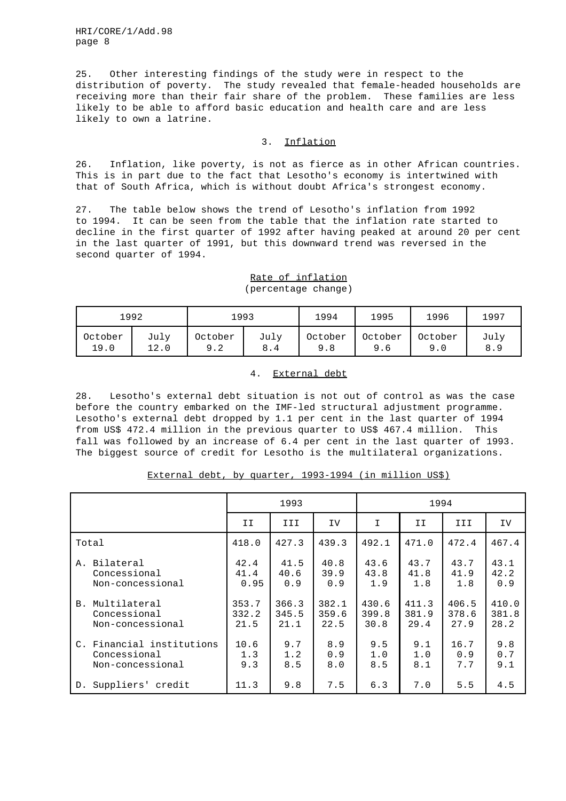25. Other interesting findings of the study were in respect to the distribution of poverty. The study revealed that female-headed households are receiving more than their fair share of the problem. These families are less likely to be able to afford basic education and health care and are less likely to own a latrine.

# 3. Inflation

26. Inflation, like poverty, is not as fierce as in other African countries. This is in part due to the fact that Lesotho's economy is intertwined with that of South Africa, which is without doubt Africa's strongest economy.

27. The table below shows the trend of Lesotho's inflation from 1992 to 1994. It can be seen from the table that the inflation rate started to decline in the first quarter of 1992 after having peaked at around 20 per cent in the last quarter of 1991, but this downward trend was reversed in the second quarter of 1994.

# Rate of inflation (percentage change)

| 1992    |      | 1993    |      | 1994    | 1995    | 1996    | 1997 |
|---------|------|---------|------|---------|---------|---------|------|
| October | July | October | July | October | October | October | July |
| 19.0    | 12.0 | 9.2     | 8.4  | 9.8     | 9.6     | 9.0     | 8.9  |

# 4. External debt

28. Lesotho's external debt situation is not out of control as was the case before the country embarked on the IMF-led structural adjustment programme. Lesotho's external debt dropped by 1.1 per cent in the last quarter of 1994 from US\$ 472.4 million in the previous quarter to US\$ 467.4 million. This fall was followed by an increase of 6.4 per cent in the last quarter of 1993. The biggest source of credit for Lesotho is the multilateral organizations.

| External debt, by quarter, 1993-1994 (in million US\$) |  |  |  |  |  |  |  |  |
|--------------------------------------------------------|--|--|--|--|--|--|--|--|
|--------------------------------------------------------|--|--|--|--|--|--|--|--|

|                                                                               | 1993                   |                        |                        | 1994                   |                        |                        |                        |
|-------------------------------------------------------------------------------|------------------------|------------------------|------------------------|------------------------|------------------------|------------------------|------------------------|
|                                                                               | ΙI                     | III                    | IV                     | I                      | ΙI                     | III                    | ΙV                     |
| Total                                                                         | 418.0                  | 427.3                  | 439.3                  | 492.1                  | 471.0                  | 472.4                  | 467.4                  |
| Bilateral<br>Α.<br>Concessional<br>Non-concessional                           | 42.4<br>41.4<br>0.95   | 41.5<br>40.6<br>0.9    | 40.8<br>39.9<br>0.9    | 43.6<br>43.8<br>1.9    | 43.7<br>41.8<br>1.8    | 43.7<br>41.9<br>1.8    | 43.1<br>42.2<br>0.9    |
| Multilateral<br>B.<br>Concessional<br>Non-concessional                        | 353.7<br>332.2<br>21.5 | 366.3<br>345.5<br>21.1 | 382.1<br>359.6<br>22.5 | 430.6<br>399.8<br>30.8 | 411.3<br>381.9<br>29.4 | 406.5<br>378.6<br>27.9 | 410.0<br>381.8<br>28.2 |
| Financial institutions<br>$\mathcal{C}$ .<br>Concessional<br>Non-concessional | 10.6<br>1.3<br>9.3     | 9.7<br>1.2<br>8.5      | 8.9<br>0.9<br>8.0      | 9.5<br>1.0<br>8.5      | 9.1<br>1.0<br>8.1      | 16.7<br>0.9<br>7.7     | 9.8<br>0.7<br>9.1      |
| Suppliers' credit<br>D.                                                       | 11.3                   | 9.8                    | 7.5                    | 6.3                    | 7.0                    | 5.5                    | 4.5                    |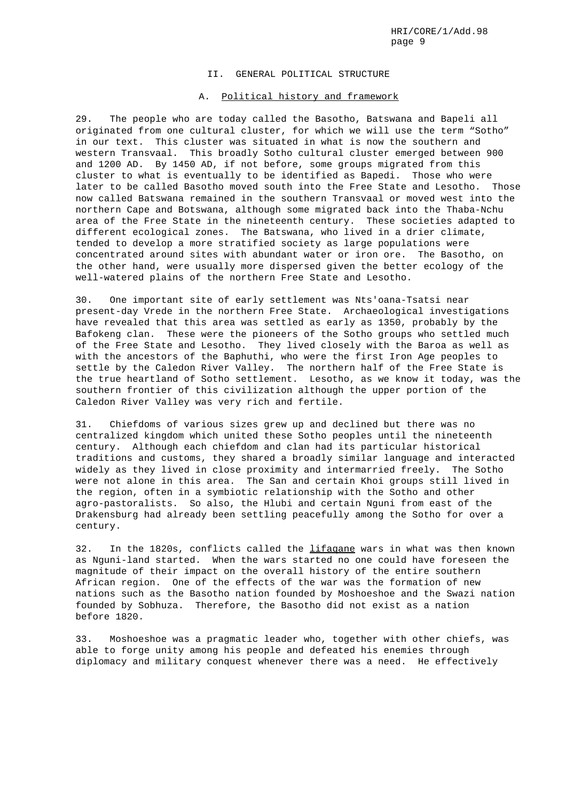#### II. GENERAL POLITICAL STRUCTURE

#### A. Political history and framework

29. The people who are today called the Basotho, Batswana and Bapeli all originated from one cultural cluster, for which we will use the term "Sotho" in our text. This cluster was situated in what is now the southern and western Transvaal. This broadly Sotho cultural cluster emerged between 900 and 1200 AD. By 1450 AD, if not before, some groups migrated from this cluster to what is eventually to be identified as Bapedi. Those who were later to be called Basotho moved south into the Free State and Lesotho. Those now called Batswana remained in the southern Transvaal or moved west into the northern Cape and Botswana, although some migrated back into the Thaba-Nchu area of the Free State in the nineteenth century. These societies adapted to different ecological zones. The Batswana, who lived in a drier climate, tended to develop a more stratified society as large populations were concentrated around sites with abundant water or iron ore. The Basotho, on the other hand, were usually more dispersed given the better ecology of the well-watered plains of the northern Free State and Lesotho.

30. One important site of early settlement was Nts'oana-Tsatsi near present-day Vrede in the northern Free State. Archaeological investigations have revealed that this area was settled as early as 1350, probably by the Bafokeng clan. These were the pioneers of the Sotho groups who settled much of the Free State and Lesotho. They lived closely with the Baroa as well as with the ancestors of the Baphuthi, who were the first Iron Age peoples to settle by the Caledon River Valley. The northern half of the Free State is the true heartland of Sotho settlement. Lesotho, as we know it today, was the southern frontier of this civilization although the upper portion of the Caledon River Valley was very rich and fertile.

31. Chiefdoms of various sizes grew up and declined but there was no centralized kingdom which united these Sotho peoples until the nineteenth century. Although each chiefdom and clan had its particular historical traditions and customs, they shared a broadly similar language and interacted widely as they lived in close proximity and intermarried freely. The Sotho were not alone in this area. The San and certain Khoi groups still lived in the region, often in a symbiotic relationship with the Sotho and other agro-pastoralists. So also, the Hlubi and certain Nguni from east of the Drakensburg had already been settling peacefully among the Sotho for over a century.

32. In the 1820s, conflicts called the lifaqane wars in what was then known as Nguni-land started. When the wars started no one could have foreseen the magnitude of their impact on the overall history of the entire southern African region. One of the effects of the war was the formation of new nations such as the Basotho nation founded by Moshoeshoe and the Swazi nation founded by Sobhuza. Therefore, the Basotho did not exist as a nation before 1820.

33. Moshoeshoe was a pragmatic leader who, together with other chiefs, was able to forge unity among his people and defeated his enemies through diplomacy and military conquest whenever there was a need. He effectively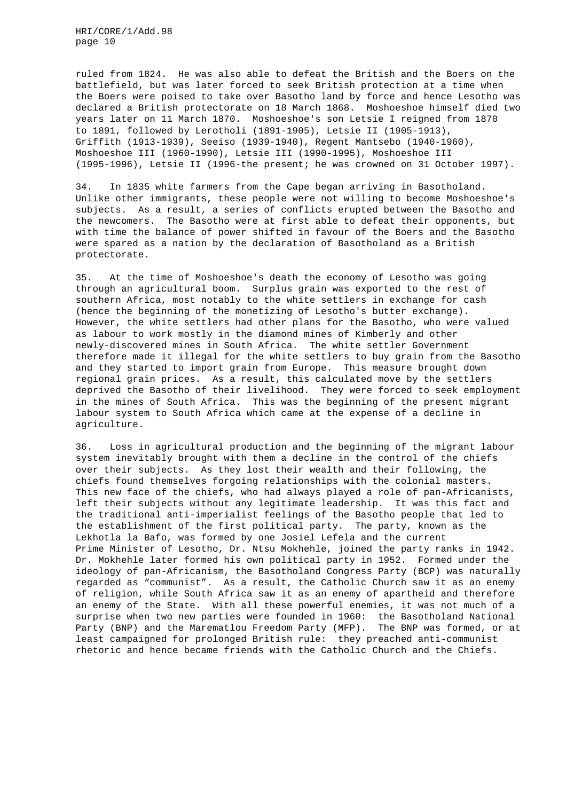ruled from 1824. He was also able to defeat the British and the Boers on the battlefield, but was later forced to seek British protection at a time when the Boers were poised to take over Basotho land by force and hence Lesotho was declared a British protectorate on 18 March 1868. Moshoeshoe himself died two years later on 11 March 1870. Moshoeshoe's son Letsie I reigned from 1870 to 1891, followed by Lerotholi (1891-1905), Letsie II (1905-1913), Griffith (1913-1939), Seeiso (1939-1940), Regent Mantsebo (1940-1960), Moshoeshoe III (1960-1990), Letsie III (1990-1995), Moshoeshoe III (1995-1996), Letsie II (1996-the present; he was crowned on 31 October 1997).

34. In 1835 white farmers from the Cape began arriving in Basotholand. Unlike other immigrants, these people were not willing to become Moshoeshoe's subjects. As a result, a series of conflicts erupted between the Basotho and the newcomers. The Basotho were at first able to defeat their opponents, but with time the balance of power shifted in favour of the Boers and the Basotho were spared as a nation by the declaration of Basotholand as a British protectorate.

35. At the time of Moshoeshoe's death the economy of Lesotho was going through an agricultural boom. Surplus grain was exported to the rest of southern Africa, most notably to the white settlers in exchange for cash (hence the beginning of the monetizing of Lesotho's butter exchange). However, the white settlers had other plans for the Basotho, who were valued as labour to work mostly in the diamond mines of Kimberly and other newly-discovered mines in South Africa. The white settler Government therefore made it illegal for the white settlers to buy grain from the Basotho and they started to import grain from Europe. This measure brought down regional grain prices. As a result, this calculated move by the settlers deprived the Basotho of their livelihood. They were forced to seek employment in the mines of South Africa. This was the beginning of the present migrant labour system to South Africa which came at the expense of a decline in agriculture.

36. Loss in agricultural production and the beginning of the migrant labour system inevitably brought with them a decline in the control of the chiefs over their subjects. As they lost their wealth and their following, the chiefs found themselves forgoing relationships with the colonial masters. This new face of the chiefs, who had always played a role of pan-Africanists, left their subjects without any legitimate leadership. It was this fact and the traditional anti-imperialist feelings of the Basotho people that led to the establishment of the first political party. The party, known as the Lekhotla la Bafo, was formed by one Josiel Lefela and the current Prime Minister of Lesotho, Dr. Ntsu Mokhehle, joined the party ranks in 1942. Dr. Mokhehle later formed his own political party in 1952. Formed under the ideology of pan-Africanism, the Basotholand Congress Party (BCP) was naturally regarded as "communist". As a result, the Catholic Church saw it as an enemy of religion, while South Africa saw it as an enemy of apartheid and therefore an enemy of the State. With all these powerful enemies, it was not much of a surprise when two new parties were founded in 1960: the Basotholand National Party (BNP) and the Marematlou Freedom Party (MFP). The BNP was formed, or at least campaigned for prolonged British rule: they preached anti-communist rhetoric and hence became friends with the Catholic Church and the Chiefs.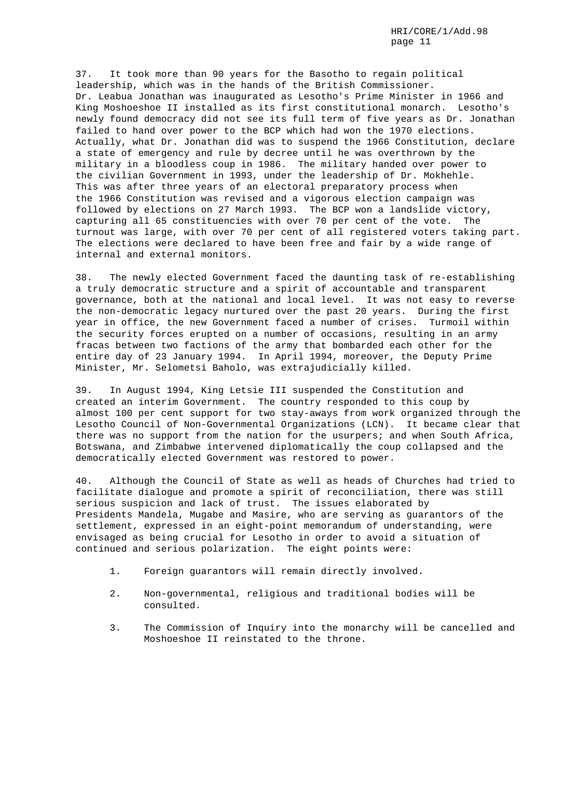37. It took more than 90 years for the Basotho to regain political leadership, which was in the hands of the British Commissioner. Dr. Leabua Jonathan was inaugurated as Lesotho's Prime Minister in 1966 and King Moshoeshoe II installed as its first constitutional monarch. Lesotho's newly found democracy did not see its full term of five years as Dr. Jonathan failed to hand over power to the BCP which had won the 1970 elections. Actually, what Dr. Jonathan did was to suspend the 1966 Constitution, declare a state of emergency and rule by decree until he was overthrown by the military in a bloodless coup in 1986. The military handed over power to the civilian Government in 1993, under the leadership of Dr. Mokhehle. This was after three years of an electoral preparatory process when the 1966 Constitution was revised and a vigorous election campaign was followed by elections on 27 March 1993. The BCP won a landslide victory, capturing all 65 constituencies with over 70 per cent of the vote. The turnout was large, with over 70 per cent of all registered voters taking part. The elections were declared to have been free and fair by a wide range of internal and external monitors.

38. The newly elected Government faced the daunting task of re-establishing a truly democratic structure and a spirit of accountable and transparent governance, both at the national and local level. It was not easy to reverse the non-democratic legacy nurtured over the past 20 years. During the first year in office, the new Government faced a number of crises. Turmoil within the security forces erupted on a number of occasions, resulting in an army fracas between two factions of the army that bombarded each other for the entire day of 23 January 1994. In April 1994, moreover, the Deputy Prime Minister, Mr. Selometsi Baholo, was extrajudicially killed.

39. In August 1994, King Letsie III suspended the Constitution and created an interim Government. The country responded to this coup by almost 100 per cent support for two stay-aways from work organized through the Lesotho Council of Non-Governmental Organizations (LCN). It became clear that there was no support from the nation for the usurpers; and when South Africa, Botswana, and Zimbabwe intervened diplomatically the coup collapsed and the democratically elected Government was restored to power.

40. Although the Council of State as well as heads of Churches had tried to facilitate dialogue and promote a spirit of reconciliation, there was still serious suspicion and lack of trust. The issues elaborated by Presidents Mandela, Mugabe and Masire, who are serving as guarantors of the settlement, expressed in an eight-point memorandum of understanding, were envisaged as being crucial for Lesotho in order to avoid a situation of continued and serious polarization. The eight points were:

- 1. Foreign guarantors will remain directly involved.
- 2. Non-governmental, religious and traditional bodies will be consulted.
- 3. The Commission of Inquiry into the monarchy will be cancelled and Moshoeshoe II reinstated to the throne.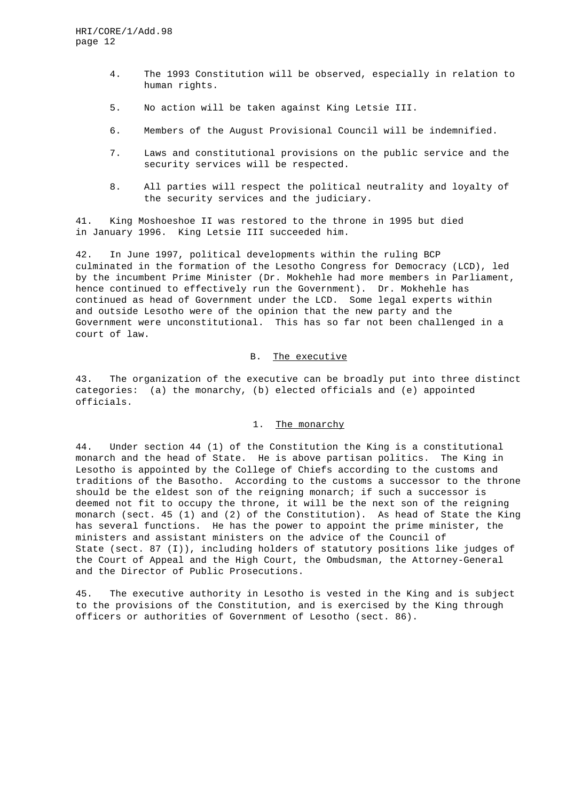- 4. The 1993 Constitution will be observed, especially in relation to human rights.
- 5. No action will be taken against King Letsie III.
- 6. Members of the August Provisional Council will be indemnified.
- 7. Laws and constitutional provisions on the public service and the security services will be respected.
- 8. All parties will respect the political neutrality and loyalty of the security services and the judiciary.

41. King Moshoeshoe II was restored to the throne in 1995 but died in January 1996. King Letsie III succeeded him.

42. In June 1997, political developments within the ruling BCP culminated in the formation of the Lesotho Congress for Democracy (LCD), led by the incumbent Prime Minister (Dr. Mokhehle had more members in Parliament, hence continued to effectively run the Government). Dr. Mokhehle has continued as head of Government under the LCD. Some legal experts within and outside Lesotho were of the opinion that the new party and the Government were unconstitutional. This has so far not been challenged in a court of law.

## B. The executive

43. The organization of the executive can be broadly put into three distinct categories: (a) the monarchy, (b) elected officials and (e) appointed officials.

#### 1. The monarchy

44. Under section 44 (1) of the Constitution the King is a constitutional monarch and the head of State. He is above partisan politics. The King in Lesotho is appointed by the College of Chiefs according to the customs and traditions of the Basotho. According to the customs a successor to the throne should be the eldest son of the reigning monarch; if such a successor is deemed not fit to occupy the throne, it will be the next son of the reigning monarch (sect. 45 (1) and (2) of the Constitution). As head of State the King has several functions. He has the power to appoint the prime minister, the ministers and assistant ministers on the advice of the Council of State (sect. 87 (I)), including holders of statutory positions like judges of the Court of Appeal and the High Court, the Ombudsman, the Attorney-General and the Director of Public Prosecutions.

45. The executive authority in Lesotho is vested in the King and is subject to the provisions of the Constitution, and is exercised by the King through officers or authorities of Government of Lesotho (sect. 86).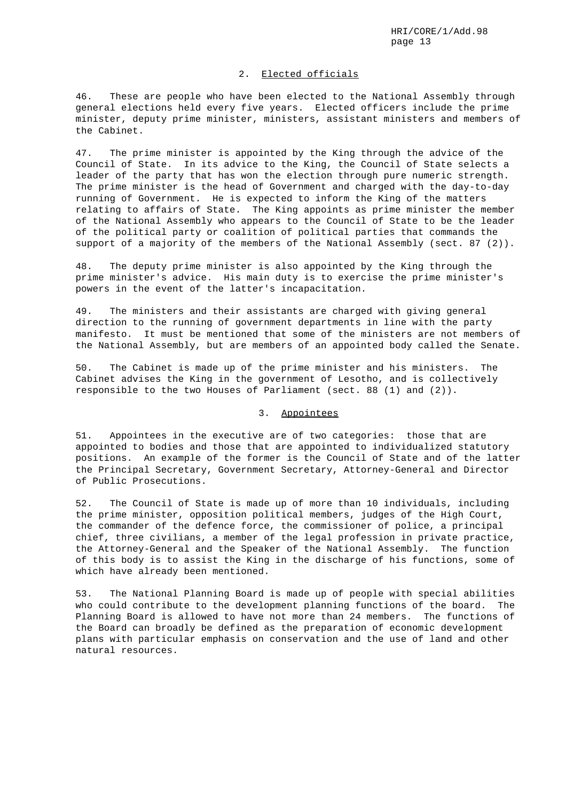# 2. Elected officials

46. These are people who have been elected to the National Assembly through general elections held every five years. Elected officers include the prime minister, deputy prime minister, ministers, assistant ministers and members of the Cabinet.

47. The prime minister is appointed by the King through the advice of the Council of State. In its advice to the King, the Council of State selects a leader of the party that has won the election through pure numeric strength. The prime minister is the head of Government and charged with the day-to-day running of Government. He is expected to inform the King of the matters relating to affairs of State. The King appoints as prime minister the member of the National Assembly who appears to the Council of State to be the leader of the political party or coalition of political parties that commands the support of a majority of the members of the National Assembly (sect. 87 (2)).

48. The deputy prime minister is also appointed by the King through the prime minister's advice. His main duty is to exercise the prime minister's powers in the event of the latter's incapacitation.

49. The ministers and their assistants are charged with giving general direction to the running of government departments in line with the party manifesto. It must be mentioned that some of the ministers are not members of the National Assembly, but are members of an appointed body called the Senate.

50. The Cabinet is made up of the prime minister and his ministers. The Cabinet advises the King in the government of Lesotho, and is collectively responsible to the two Houses of Parliament (sect. 88 (1) and (2)).

#### 3. Appointees

51. Appointees in the executive are of two categories: those that are appointed to bodies and those that are appointed to individualized statutory positions. An example of the former is the Council of State and of the latter the Principal Secretary, Government Secretary, Attorney-General and Director of Public Prosecutions.

52. The Council of State is made up of more than 10 individuals, including the prime minister, opposition political members, judges of the High Court, the commander of the defence force, the commissioner of police, a principal chief, three civilians, a member of the legal profession in private practice, the Attorney-General and the Speaker of the National Assembly. The function of this body is to assist the King in the discharge of his functions, some of which have already been mentioned.

53. The National Planning Board is made up of people with special abilities who could contribute to the development planning functions of the board. The Planning Board is allowed to have not more than 24 members. The functions of the Board can broadly be defined as the preparation of economic development plans with particular emphasis on conservation and the use of land and other natural resources.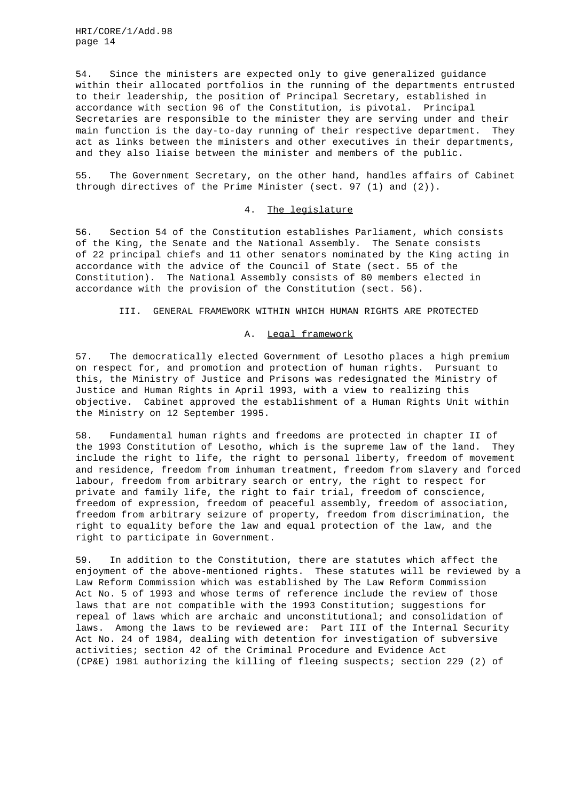54. Since the ministers are expected only to give generalized guidance within their allocated portfolios in the running of the departments entrusted to their leadership, the position of Principal Secretary, established in accordance with section 96 of the Constitution, is pivotal. Principal Secretaries are responsible to the minister they are serving under and their main function is the day-to-day running of their respective department. They act as links between the ministers and other executives in their departments, and they also liaise between the minister and members of the public.

55. The Government Secretary, on the other hand, handles affairs of Cabinet through directives of the Prime Minister (sect. 97 (1) and (2)).

#### 4. The legislature

56. Section 54 of the Constitution establishes Parliament, which consists of the King, the Senate and the National Assembly. The Senate consists of 22 principal chiefs and 11 other senators nominated by the King acting in accordance with the advice of the Council of State (sect. 55 of the Constitution). The National Assembly consists of 80 members elected in accordance with the provision of the Constitution (sect. 56).

III. GENERAL FRAMEWORK WITHIN WHICH HUMAN RIGHTS ARE PROTECTED

#### A. Legal framework

57. The democratically elected Government of Lesotho places a high premium on respect for, and promotion and protection of human rights. Pursuant to this, the Ministry of Justice and Prisons was redesignated the Ministry of Justice and Human Rights in April 1993, with a view to realizing this objective. Cabinet approved the establishment of a Human Rights Unit within the Ministry on 12 September 1995.

58. Fundamental human rights and freedoms are protected in chapter II of the 1993 Constitution of Lesotho, which is the supreme law of the land. They include the right to life, the right to personal liberty, freedom of movement and residence, freedom from inhuman treatment, freedom from slavery and forced labour, freedom from arbitrary search or entry, the right to respect for private and family life, the right to fair trial, freedom of conscience, freedom of expression, freedom of peaceful assembly, freedom of association, freedom from arbitrary seizure of property, freedom from discrimination, the right to equality before the law and equal protection of the law, and the right to participate in Government.

59. In addition to the Constitution, there are statutes which affect the enjoyment of the above-mentioned rights. These statutes will be reviewed by a Law Reform Commission which was established by The Law Reform Commission Act No. 5 of 1993 and whose terms of reference include the review of those laws that are not compatible with the 1993 Constitution; suggestions for repeal of laws which are archaic and unconstitutional; and consolidation of laws. Among the laws to be reviewed are: Part III of the Internal Security Act No. 24 of 1984, dealing with detention for investigation of subversive activities; section 42 of the Criminal Procedure and Evidence Act (CP&E) 1981 authorizing the killing of fleeing suspects; section 229 (2) of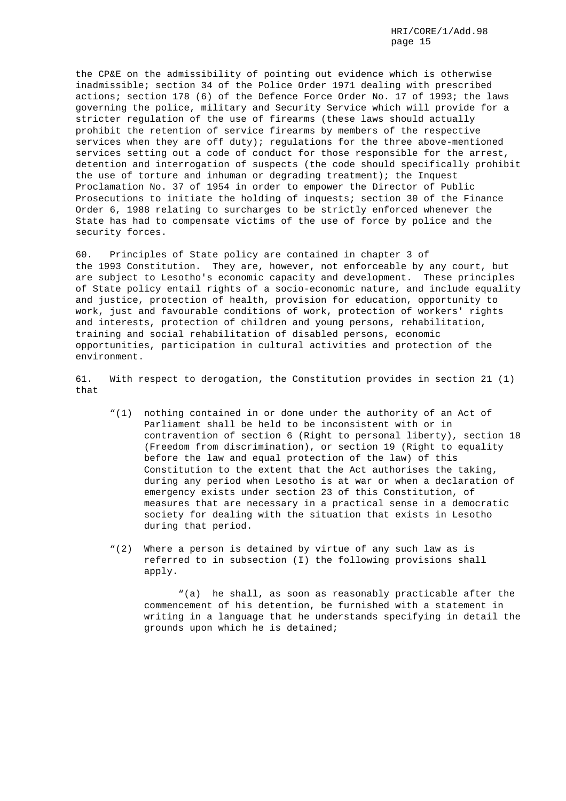the CP&E on the admissibility of pointing out evidence which is otherwise inadmissible; section 34 of the Police Order 1971 dealing with prescribed actions; section 178 (6) of the Defence Force Order No. 17 of 1993; the laws governing the police, military and Security Service which will provide for a stricter regulation of the use of firearms (these laws should actually prohibit the retention of service firearms by members of the respective services when they are off duty); regulations for the three above-mentioned services setting out a code of conduct for those responsible for the arrest, detention and interrogation of suspects (the code should specifically prohibit the use of torture and inhuman or degrading treatment); the Inquest Proclamation No. 37 of 1954 in order to empower the Director of Public Prosecutions to initiate the holding of inquests; section 30 of the Finance Order 6, 1988 relating to surcharges to be strictly enforced whenever the State has had to compensate victims of the use of force by police and the security forces.

60. Principles of State policy are contained in chapter 3 of the 1993 Constitution. They are, however, not enforceable by any court, but are subject to Lesotho's economic capacity and development. These principles of State policy entail rights of a socio-economic nature, and include equality and justice, protection of health, provision for education, opportunity to work, just and favourable conditions of work, protection of workers' rights and interests, protection of children and young persons, rehabilitation, training and social rehabilitation of disabled persons, economic opportunities, participation in cultural activities and protection of the environment.

61. With respect to derogation, the Constitution provides in section 21 (1) that

- "(1) nothing contained in or done under the authority of an Act of Parliament shall be held to be inconsistent with or in contravention of section 6 (Right to personal liberty), section 18 (Freedom from discrimination), or section 19 (Right to equality before the law and equal protection of the law) of this Constitution to the extent that the Act authorises the taking, during any period when Lesotho is at war or when a declaration of emergency exists under section 23 of this Constitution, of measures that are necessary in a practical sense in a democratic society for dealing with the situation that exists in Lesotho during that period.
- "(2) Where a person is detained by virtue of any such law as is referred to in subsection (I) the following provisions shall apply.

"(a) he shall, as soon as reasonably practicable after the commencement of his detention, be furnished with a statement in writing in a language that he understands specifying in detail the grounds upon which he is detained;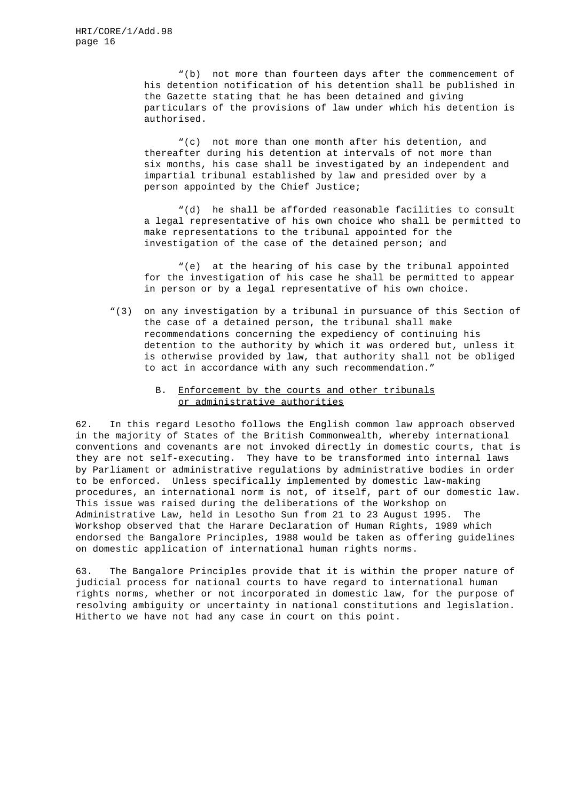"(b) not more than fourteen days after the commencement of his detention notification of his detention shall be published in the Gazette stating that he has been detained and giving particulars of the provisions of law under which his detention is authorised.

"(c) not more than one month after his detention, and thereafter during his detention at intervals of not more than six months, his case shall be investigated by an independent and impartial tribunal established by law and presided over by a person appointed by the Chief Justice;

"(d) he shall be afforded reasonable facilities to consult a legal representative of his own choice who shall be permitted to make representations to the tribunal appointed for the investigation of the case of the detained person; and

"(e) at the hearing of his case by the tribunal appointed for the investigation of his case he shall be permitted to appear in person or by a legal representative of his own choice.

"(3) on any investigation by a tribunal in pursuance of this Section of the case of a detained person, the tribunal shall make recommendations concerning the expediency of continuing his detention to the authority by which it was ordered but, unless it is otherwise provided by law, that authority shall not be obliged to act in accordance with any such recommendation."

# B. Enforcement by the courts and other tribunals or administrative authorities

62. In this regard Lesotho follows the English common law approach observed in the majority of States of the British Commonwealth, whereby international conventions and covenants are not invoked directly in domestic courts, that is they are not self-executing. They have to be transformed into internal laws by Parliament or administrative regulations by administrative bodies in order to be enforced. Unless specifically implemented by domestic law-making procedures, an international norm is not, of itself, part of our domestic law. This issue was raised during the deliberations of the Workshop on Administrative Law, held in Lesotho Sun from 21 to 23 August 1995. The Workshop observed that the Harare Declaration of Human Rights, 1989 which endorsed the Bangalore Principles, 1988 would be taken as offering guidelines on domestic application of international human rights norms.

63. The Bangalore Principles provide that it is within the proper nature of judicial process for national courts to have regard to international human rights norms, whether or not incorporated in domestic law, for the purpose of resolving ambiguity or uncertainty in national constitutions and legislation. Hitherto we have not had any case in court on this point.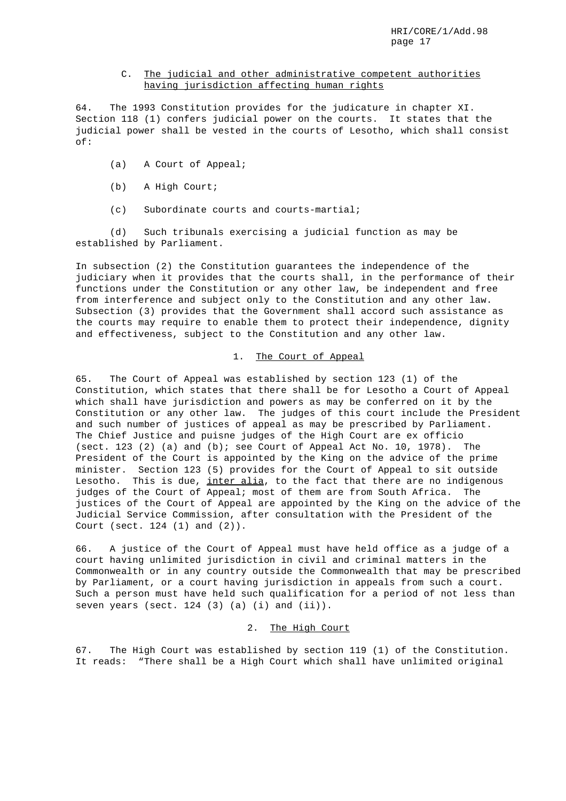# C. The judicial and other administrative competent authorities having jurisdiction affecting human rights

64. The 1993 Constitution provides for the judicature in chapter XI. Section 118 (1) confers judicial power on the courts. It states that the judicial power shall be vested in the courts of Lesotho, which shall consist of:

- (a) A Court of Appeal;
- (b) A High Court;
- (c) Subordinate courts and courts-martial;

(d) Such tribunals exercising a judicial function as may be established by Parliament.

In subsection (2) the Constitution guarantees the independence of the judiciary when it provides that the courts shall, in the performance of their functions under the Constitution or any other law, be independent and free from interference and subject only to the Constitution and any other law. Subsection (3) provides that the Government shall accord such assistance as the courts may require to enable them to protect their independence, dignity and effectiveness, subject to the Constitution and any other law.

## 1. The Court of Appeal

65. The Court of Appeal was established by section 123 (1) of the Constitution, which states that there shall be for Lesotho a Court of Appeal which shall have jurisdiction and powers as may be conferred on it by the Constitution or any other law. The judges of this court include the President and such number of justices of appeal as may be prescribed by Parliament. The Chief Justice and puisne judges of the High Court are ex officio (sect. 123 (2) (a) and (b); see Court of Appeal Act No. 10, 1978). The President of the Court is appointed by the King on the advice of the prime minister. Section 123 (5) provides for the Court of Appeal to sit outside Lesotho. This is due, inter alia, to the fact that there are no indigenous judges of the Court of Appeal; most of them are from South Africa. The justices of the Court of Appeal are appointed by the King on the advice of the Judicial Service Commission, after consultation with the President of the Court (sect. 124 (1) and (2)).

66. A justice of the Court of Appeal must have held office as a judge of a court having unlimited jurisdiction in civil and criminal matters in the Commonwealth or in any country outside the Commonwealth that may be prescribed by Parliament, or a court having jurisdiction in appeals from such a court. Such a person must have held such qualification for a period of not less than seven years (sect.  $124$  (3) (a) (i) and (ii)).

## 2. The High Court

67. The High Court was established by section 119 (1) of the Constitution. It reads: "There shall be a High Court which shall have unlimited original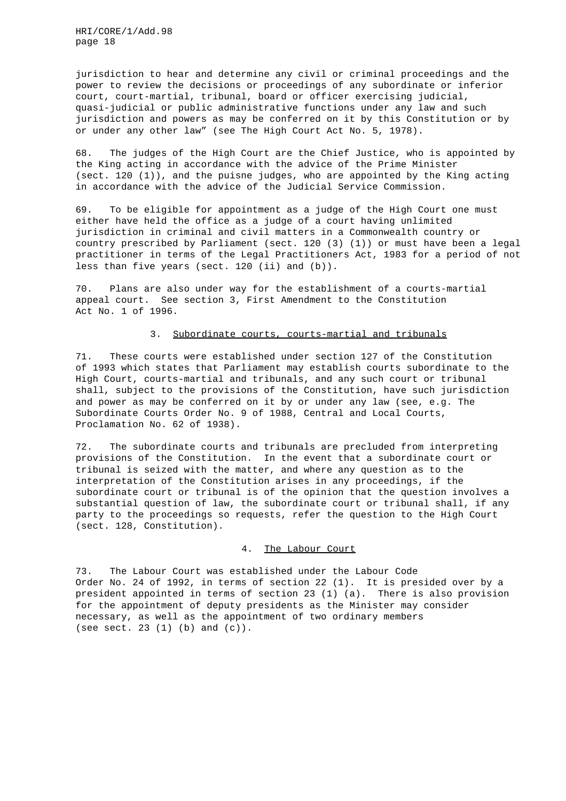jurisdiction to hear and determine any civil or criminal proceedings and the power to review the decisions or proceedings of any subordinate or inferior court, court-martial, tribunal, board or officer exercising judicial, quasi-judicial or public administrative functions under any law and such jurisdiction and powers as may be conferred on it by this Constitution or by or under any other law" (see The High Court Act No. 5, 1978).

68. The judges of the High Court are the Chief Justice, who is appointed by the King acting in accordance with the advice of the Prime Minister (sect. 120 (1)), and the puisne judges, who are appointed by the King acting in accordance with the advice of the Judicial Service Commission.

69. To be eligible for appointment as a judge of the High Court one must either have held the office as a judge of a court having unlimited jurisdiction in criminal and civil matters in a Commonwealth country or country prescribed by Parliament (sect. 120 (3) (1)) or must have been a legal practitioner in terms of the Legal Practitioners Act, 1983 for a period of not less than five years (sect. 120 (ii) and (b)).

70. Plans are also under way for the establishment of a courts-martial appeal court. See section 3, First Amendment to the Constitution Act No. 1 of 1996.

#### 3. Subordinate courts, courts-martial and tribunals

71. These courts were established under section 127 of the Constitution of 1993 which states that Parliament may establish courts subordinate to the High Court, courts-martial and tribunals, and any such court or tribunal shall, subject to the provisions of the Constitution, have such jurisdiction and power as may be conferred on it by or under any law (see, e.g. The Subordinate Courts Order No. 9 of 1988, Central and Local Courts, Proclamation No. 62 of 1938).

72. The subordinate courts and tribunals are precluded from interpreting provisions of the Constitution. In the event that a subordinate court or tribunal is seized with the matter, and where any question as to the interpretation of the Constitution arises in any proceedings, if the subordinate court or tribunal is of the opinion that the question involves a substantial question of law, the subordinate court or tribunal shall, if any party to the proceedings so requests, refer the question to the High Court (sect. 128, Constitution).

# 4. The Labour Court

73. The Labour Court was established under the Labour Code Order No. 24 of 1992, in terms of section 22 (1). It is presided over by a president appointed in terms of section 23 (1) (a). There is also provision for the appointment of deputy presidents as the Minister may consider necessary, as well as the appointment of two ordinary members (see sect. 23 (1) (b) and (c)).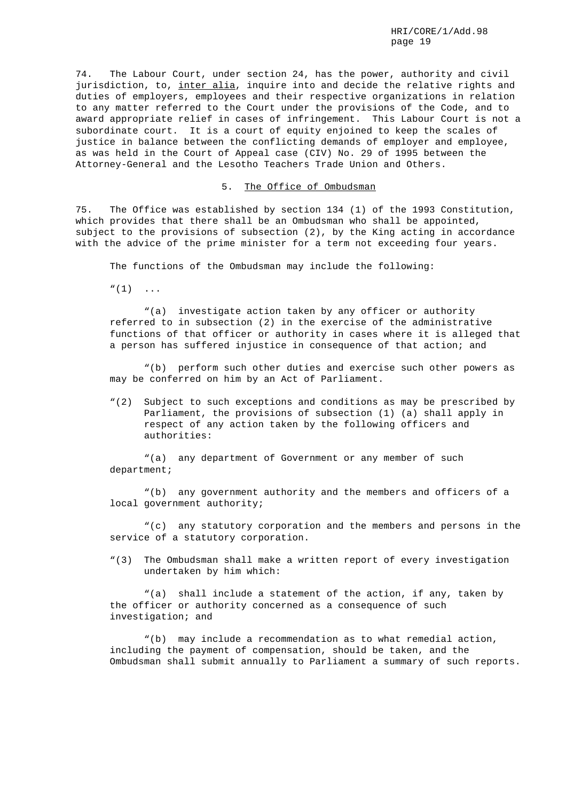74. The Labour Court, under section 24, has the power, authority and civil jurisdiction, to, *inter alia*, inquire into and decide the relative rights and duties of employers, employees and their respective organizations in relation to any matter referred to the Court under the provisions of the Code, and to award appropriate relief in cases of infringement. This Labour Court is not a subordinate court. It is a court of equity enjoined to keep the scales of justice in balance between the conflicting demands of employer and employee, as was held in the Court of Appeal case (CIV) No. 29 of 1995 between the Attorney-General and the Lesotho Teachers Trade Union and Others.

# 5. The Office of Ombudsman

75. The Office was established by section 134 (1) of the 1993 Constitution, which provides that there shall be an Ombudsman who shall be appointed, subject to the provisions of subsection (2), by the King acting in accordance with the advice of the prime minister for a term not exceeding four years.

The functions of the Ombudsman may include the following:

 $" (1) \t ...$ 

"(a) investigate action taken by any officer or authority referred to in subsection (2) in the exercise of the administrative functions of that officer or authority in cases where it is alleged that a person has suffered injustice in consequence of that action; and

"(b) perform such other duties and exercise such other powers as may be conferred on him by an Act of Parliament.

"(2) Subject to such exceptions and conditions as may be prescribed by Parliament, the provisions of subsection (1) (a) shall apply in respect of any action taken by the following officers and authorities:

"(a) any department of Government or any member of such department;

"(b) any government authority and the members and officers of a local government authority;

"(c) any statutory corporation and the members and persons in the service of a statutory corporation.

"(3) The Ombudsman shall make a written report of every investigation undertaken by him which:

"(a) shall include a statement of the action, if any, taken by the officer or authority concerned as a consequence of such investigation; and

"(b) may include a recommendation as to what remedial action, including the payment of compensation, should be taken, and the Ombudsman shall submit annually to Parliament a summary of such reports.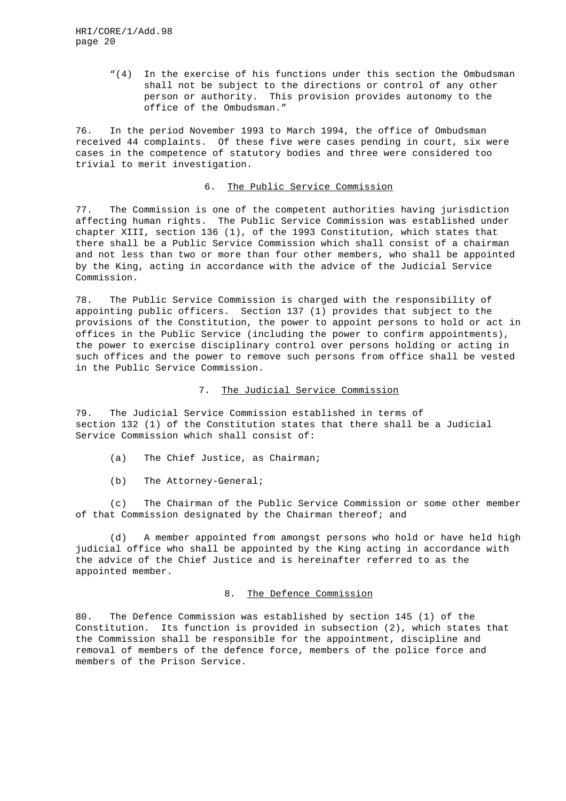> "(4) In the exercise of his functions under this section the Ombudsman shall not be subject to the directions or control of any other person or authority. This provision provides autonomy to the office of the Ombudsman."

76. In the period November 1993 to March 1994, the office of Ombudsman received 44 complaints. Of these five were cases pending in court, six were cases in the competence of statutory bodies and three were considered too trivial to merit investigation.

# 6. The Public Service Commission

77. The Commission is one of the competent authorities having jurisdiction affecting human rights. The Public Service Commission was established under chapter XIII, section 136 (1), of the 1993 Constitution, which states that there shall be a Public Service Commission which shall consist of a chairman and not less than two or more than four other members, who shall be appointed by the King, acting in accordance with the advice of the Judicial Service Commission.

78. The Public Service Commission is charged with the responsibility of appointing public officers. Section 137 (1) provides that subject to the provisions of the Constitution, the power to appoint persons to hold or act in offices in the Public Service (including the power to confirm appointments), the power to exercise disciplinary control over persons holding or acting in such offices and the power to remove such persons from office shall be vested in the Public Service Commission.

#### 7. The Judicial Service Commission

79. The Judicial Service Commission established in terms of section 132 (1) of the Constitution states that there shall be a Judicial Service Commission which shall consist of:

- (a) The Chief Justice, as Chairman;
- (b) The Attorney-General;

(c) The Chairman of the Public Service Commission or some other member of that Commission designated by the Chairman thereof; and

(d) A member appointed from amongst persons who hold or have held high judicial office who shall be appointed by the King acting in accordance with the advice of the Chief Justice and is hereinafter referred to as the appointed member.

#### 8. The Defence Commission

80. The Defence Commission was established by section 145 (1) of the Constitution. Its function is provided in subsection (2), which states that the Commission shall be responsible for the appointment, discipline and removal of members of the defence force, members of the police force and members of the Prison Service.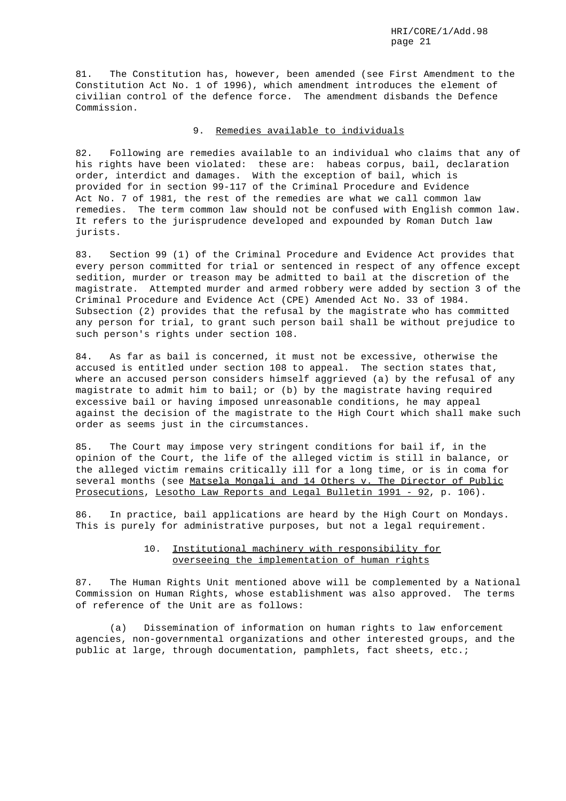81. The Constitution has, however, been amended (see First Amendment to the Constitution Act No. 1 of 1996), which amendment introduces the element of civilian control of the defence force. The amendment disbands the Defence Commission.

## 9. Remedies available to individuals

82. Following are remedies available to an individual who claims that any of his rights have been violated: these are: habeas corpus, bail, declaration order, interdict and damages. With the exception of bail, which is provided for in section 99-117 of the Criminal Procedure and Evidence Act No. 7 of 1981, the rest of the remedies are what we call common law remedies. The term common law should not be confused with English common law. It refers to the jurisprudence developed and expounded by Roman Dutch law jurists.

83. Section 99 (1) of the Criminal Procedure and Evidence Act provides that every person committed for trial or sentenced in respect of any offence except sedition, murder or treason may be admitted to bail at the discretion of the magistrate. Attempted murder and armed robbery were added by section 3 of the Criminal Procedure and Evidence Act (CPE) Amended Act No. 33 of 1984. Subsection (2) provides that the refusal by the magistrate who has committed any person for trial, to grant such person bail shall be without prejudice to such person's rights under section 108.

84. As far as bail is concerned, it must not be excessive, otherwise the accused is entitled under section 108 to appeal. The section states that, where an accused person considers himself aggrieved (a) by the refusal of any magistrate to admit him to bail; or (b) by the magistrate having required excessive bail or having imposed unreasonable conditions, he may appeal against the decision of the magistrate to the High Court which shall make such order as seems just in the circumstances.

85. The Court may impose very stringent conditions for bail if, in the opinion of the Court, the life of the alleged victim is still in balance, or the alleged victim remains critically ill for a long time, or is in coma for several months (see Matsela Mongali and 14 Others v. The Director of Public Prosecutions, Lesotho Law Reports and Legal Bulletin 1991 - 92, p. 106).

86. In practice, bail applications are heard by the High Court on Mondays. This is purely for administrative purposes, but not a legal requirement.

# 10. Institutional machinery with responsibility for overseeing the implementation of human rights

87. The Human Rights Unit mentioned above will be complemented by a National Commission on Human Rights, whose establishment was also approved. The terms of reference of the Unit are as follows:

(a) Dissemination of information on human rights to law enforcement agencies, non-governmental organizations and other interested groups, and the public at large, through documentation, pamphlets, fact sheets, etc.;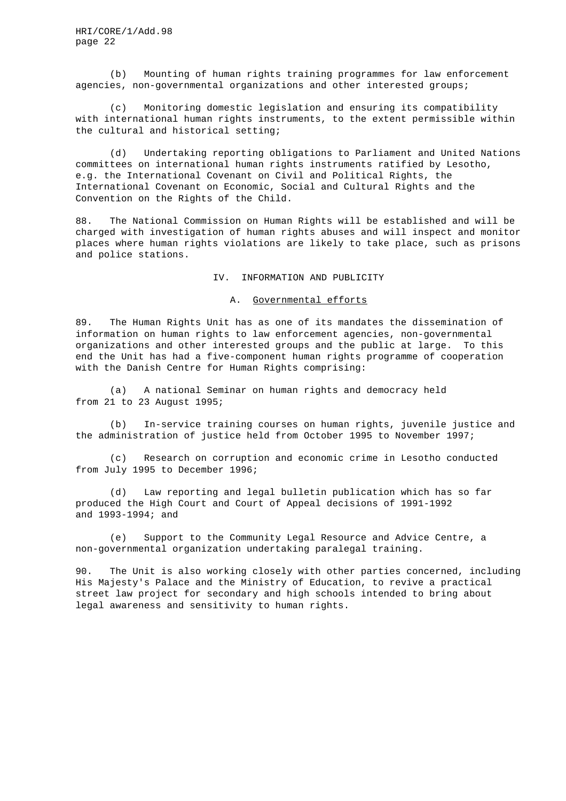(b) Mounting of human rights training programmes for law enforcement agencies, non-governmental organizations and other interested groups;

(c) Monitoring domestic legislation and ensuring its compatibility with international human rights instruments, to the extent permissible within the cultural and historical setting;

(d) Undertaking reporting obligations to Parliament and United Nations committees on international human rights instruments ratified by Lesotho, e.g. the International Covenant on Civil and Political Rights, the International Covenant on Economic, Social and Cultural Rights and the Convention on the Rights of the Child.

88. The National Commission on Human Rights will be established and will be charged with investigation of human rights abuses and will inspect and monitor places where human rights violations are likely to take place, such as prisons and police stations.

## IV. INFORMATION AND PUBLICITY

#### A. Governmental efforts

89. The Human Rights Unit has as one of its mandates the dissemination of information on human rights to law enforcement agencies, non-governmental organizations and other interested groups and the public at large. To this end the Unit has had a five-component human rights programme of cooperation with the Danish Centre for Human Rights comprising:

(a) A national Seminar on human rights and democracy held from 21 to 23 August 1995;

(b) In-service training courses on human rights, juvenile justice and the administration of justice held from October 1995 to November 1997;

(c) Research on corruption and economic crime in Lesotho conducted from July 1995 to December 1996;

(d) Law reporting and legal bulletin publication which has so far produced the High Court and Court of Appeal decisions of 1991-1992 and 1993-1994; and

(e) Support to the Community Legal Resource and Advice Centre, a non-governmental organization undertaking paralegal training.

90. The Unit is also working closely with other parties concerned, including His Majesty's Palace and the Ministry of Education, to revive a practical street law project for secondary and high schools intended to bring about legal awareness and sensitivity to human rights.